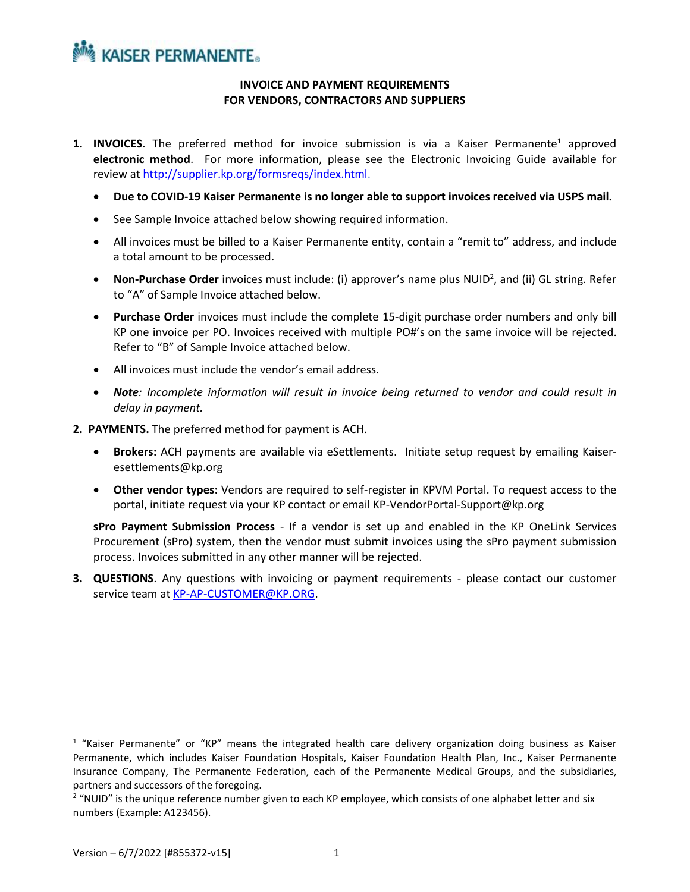## **NOW KAISER PERMANENTE.**

## **INVOICE AND PAYMENT REQUIREMENTS FOR VENDORS, CONTRACTORS AND SUPPLIERS**

- **1. INVOICES**. The preferred method for invoice submission is via a Kaiser Permanente<sup>1</sup> approved **electronic method**. For more information, please see the Electronic Invoicing Guide available for review at [http://supplier.kp.org/formsreqs/index.html.](http://supplier.kp.org/formsreqs/index.html)
	- **Due to COVID-19 Kaiser Permanente is no longer able to support invoices received via USPS mail.**
	- See Sample Invoice attached below showing required information.
	- All invoices must be billed to a Kaiser Permanente entity, contain a "remit to" address, and include a total amount to be processed.
	- Non-Purchase Order invoices must include: (i) approver's name plus NUID<sup>2</sup>, and (ii) GL string. Refer to "A" of Sample Invoice attached below.
	- **Purchase Order** invoices must include the complete 15-digit purchase order numbers and only bill KP one invoice per PO. Invoices received with multiple PO#'s on the same invoice will be rejected. Refer to "B" of Sample Invoice attached below.
	- All invoices must include the vendor's email address.
	- *Note: Incomplete information will result in invoice being returned to vendor and could result in delay in payment.*
- **2. PAYMENTS.** The preferred method for payment is ACH.
	- **Brokers:** ACH payments are available via eSettlements. Initiate setup request by emailing Kaiseresettlements@kp.org
	- **Other vendor types:** Vendors are required to self-register in KPVM Portal. To request access to the portal, initiate request via your KP contact or email KP-VendorPortal-Support@kp.org

**sPro Payment Submission Process** - If a vendor is set up and enabled in the KP OneLink Services Procurement (sPro) system, then the vendor must submit invoices using the sPro payment submission process. Invoices submitted in any other manner will be rejected.

**3. QUESTIONS**. Any questions with invoicing or payment requirements - please contact our customer service team a[t KP-AP-CUSTOMER@KP.ORG.](mailto:KP-AP-CUSTOMER@KP.ORG)

<sup>&</sup>lt;sup>1</sup> "Kaiser Permanente" or "KP" means the integrated health care delivery organization doing business as Kaiser Permanente, which includes Kaiser Foundation Hospitals, Kaiser Foundation Health Plan, Inc., Kaiser Permanente Insurance Company, The Permanente Federation, each of the Permanente Medical Groups, and the subsidiaries, partners and successors of the foregoing.

<sup>&</sup>lt;sup>2</sup> "NUID" is the unique reference number given to each KP employee, which consists of one alphabet letter and six numbers (Example: A123456).